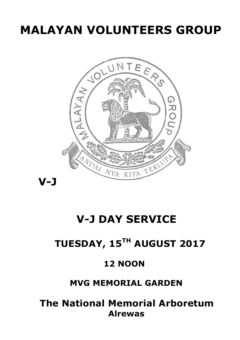# **MALAYAN VOLUNTEERS GROUP**



## **V-J DAY SERVICE**

## **TUESDAY, 15TH AUGUST 2017**

### **12 NOON**

### **MVG MEMORIAL GARDEN**

 **The National Memorial Arboretum Alrewas**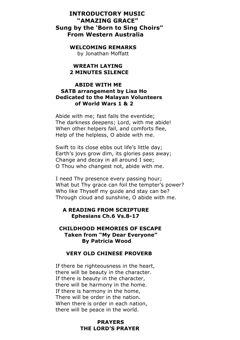#### **INTRODUCTORY MUSIC "AMAZING GRACE" Sung by the 'Born to Sing Choirs" From Western Australia**

#### **WELCOMING REMARKS**

by Jonathan Moffatt

#### **WREATH LAYING 2 MINUTES SILENCE**

#### **ABIDE WITH ME SATB arrangement by Lisa Ho Dedicated to the Malayan Volunteers of World Wars 1 & 2**

Abide with me; fast falls the eventide; The darkness deepens; Lord, with me abide! When other helpers fail, and comforts flee, Help of the helpless, O abide with me.

Swift to its close ebbs out life's little day; Earth's joys grow dim, its glories pass away; Change and decay in all around I see; O Thou who changest not, abide with me.

I need Thy presence every passing hour; What but Thy grace can foil the tempter's power? Who like Thyself my guide and stay can be? Through cloud and sunshine, O abide with me.

#### **A READING FROM SCRIPTURE Ephesians Ch.6 Vs.8-17**

#### **CHILDHOOD MEMORIES OF ESCAPE Taken from "My Dear Everyone" By Patricia Wood**

#### **VERY OLD CHINESE PROVERB**

If there be righteousness in the heart, there will be beauty in the character. If there is beauty in the character, there will be harmony in the home. If there is harmony in the home, There will be order in the nation. When there is order in each nation, there will be peace in the world.

#### **PRAYERS THE LORD'S PRAYER**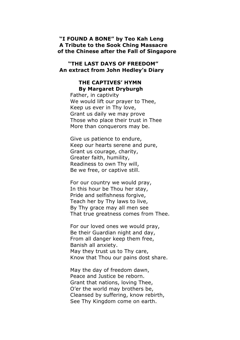#### **"I FOUND A BONE" by Teo Kah Leng A Tribute to the Sook Ching Massacre of the Chinese after the Fall of Singapore**

#### **"THE LAST DAYS OF FREEDOM" An extract from John Hedley's Diary**

#### **THE CAPTIVES' HYMN By Margaret Dryburgh**

 Father, in captivity We would lift our prayer to Thee, Keep us ever in Thy love, Grant us daily we may prove Those who place their trust in Thee More than conquerors may be.

 Give us patience to endure, Keep our hearts serene and pure, Grant us courage, charity, Greater faith, humility, Readiness to own Thy will, Be we free, or captive still.

 For our country we would pray, In this hour be Thou her stay, Pride and selfishness forgive, Teach her by Thy laws to live, By Thy grace may all men see That true greatness comes from Thee.

 For our loved ones we would pray, Be their Guardian night and day, From all danger keep them free, Banish all anxiety. May they trust us to Thy care, Know that Thou our pains dost share.

 May the day of freedom dawn, Peace and Justice be reborn. Grant that nations, loving Thee, O'er the world may brothers be, Cleansed by suffering, know rebirth, See Thy Kingdom come on earth.